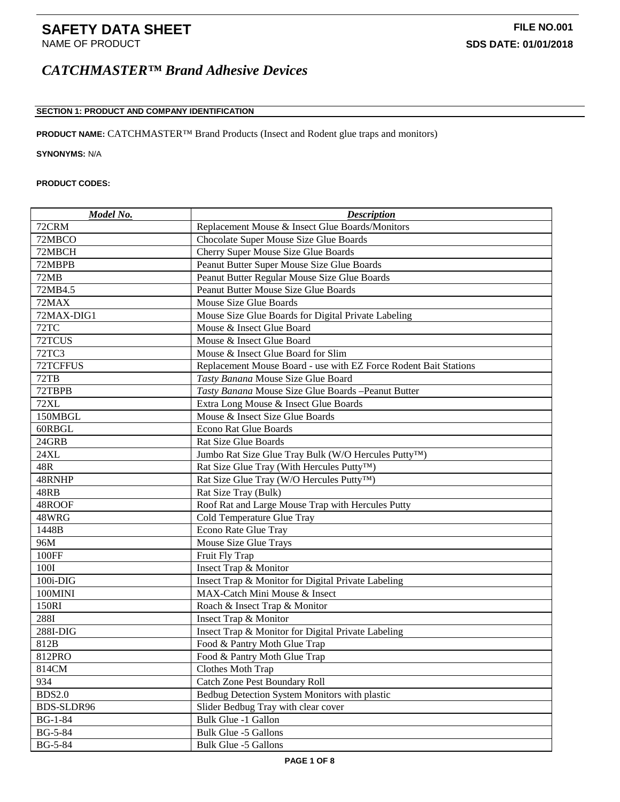### **SECTION 1: PRODUCT AND COMPANY IDENTIFICATION**

**PRODUCT NAME:** CATCHMASTER™ Brand Products (Insect and Rodent glue traps and monitors)

**SYNONYMS:** N/A

#### **PRODUCT CODES:**

| Model No.      | <b>Description</b>                                                |
|----------------|-------------------------------------------------------------------|
| 72CRM          | Replacement Mouse & Insect Glue Boards/Monitors                   |
| 72MBCO         | Chocolate Super Mouse Size Glue Boards                            |
| 72MBCH         | Cherry Super Mouse Size Glue Boards                               |
| 72MBPB         | Peanut Butter Super Mouse Size Glue Boards                        |
| 72MB           | Peanut Butter Regular Mouse Size Glue Boards                      |
| 72MB4.5        | Peanut Butter Mouse Size Glue Boards                              |
| 72MAX          | Mouse Size Glue Boards                                            |
| 72MAX-DIG1     | Mouse Size Glue Boards for Digital Private Labeling               |
| 72TC           | Mouse & Insect Glue Board                                         |
| 72TCUS         | Mouse & Insect Glue Board                                         |
| <b>72TC3</b>   | Mouse & Insect Glue Board for Slim                                |
| 72TCFFUS       | Replacement Mouse Board - use with EZ Force Rodent Bait Stations  |
| 72TB           | Tasty Banana Mouse Size Glue Board                                |
| 72TBPB         | Tasty Banana Mouse Size Glue Boards - Peanut Butter               |
| <b>72XL</b>    | Extra Long Mouse & Insect Glue Boards                             |
| 150MBGL        | Mouse & Insect Size Glue Boards                                   |
| 60RBGL         | <b>Econo Rat Glue Boards</b>                                      |
| 24GRB          | Rat Size Glue Boards                                              |
| 24XL           | Jumbo Rat Size Glue Tray Bulk (W/O Hercules Putty <sup>TM</sup> ) |
| 48R            | Rat Size Glue Tray (With Hercules Putty™)                         |
| 48RNHP         | Rat Size Glue Tray (W/O Hercules Putty <sup>TM</sup> )            |
| 48RB           | Rat Size Tray (Bulk)                                              |
| 48ROOF         | Roof Rat and Large Mouse Trap with Hercules Putty                 |
| 48WRG          | Cold Temperature Glue Tray                                        |
| 1448B          | <b>Econo Rate Glue Tray</b>                                       |
| 96M            | Mouse Size Glue Trays                                             |
| 100FF          | Fruit Fly Trap                                                    |
| 100I           | Insect Trap & Monitor                                             |
| 100i-DIG       | Insect Trap & Monitor for Digital Private Labeling                |
| 100MINI        | MAX-Catch Mini Mouse & Insect                                     |
| 150RI          | Roach & Insect Trap & Monitor                                     |
| 288I           | Insect Trap & Monitor                                             |
| 288I-DIG       | Insect Trap & Monitor for Digital Private Labeling                |
| 812B           | Food & Pantry Moth Glue Trap                                      |
| 812PRO         | Food & Pantry Moth Glue Trap                                      |
| 814CM          | Clothes Moth Trap                                                 |
| 934            | <b>Catch Zone Pest Boundary Roll</b>                              |
| <b>BDS2.0</b>  | Bedbug Detection System Monitors with plastic                     |
| BDS-SLDR96     | Slider Bedbug Tray with clear cover                               |
| $BG-1-84$      | Bulk Glue -1 Gallon                                               |
| <b>BG-5-84</b> | Bulk Glue -5 Gallons                                              |
| <b>BG-5-84</b> | Bulk Glue -5 Gallons                                              |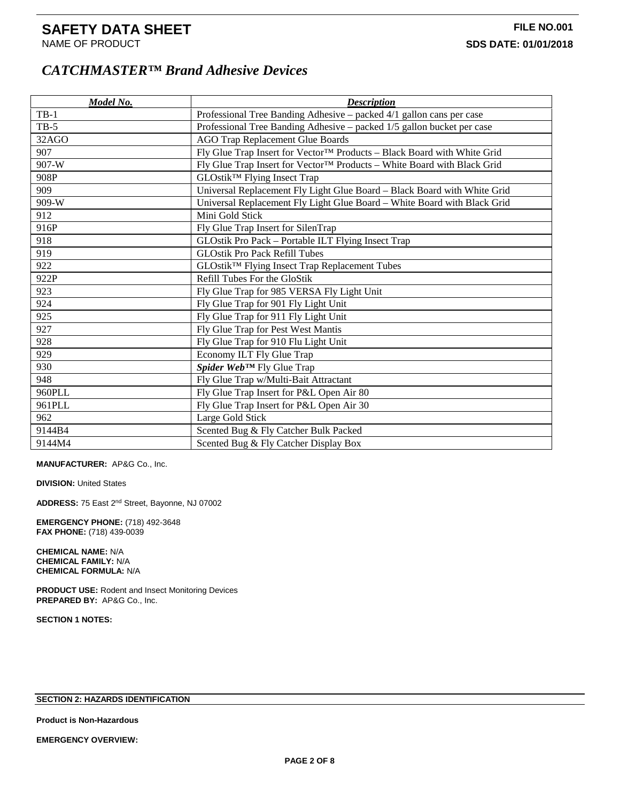| Model No. | <b>Description</b>                                                       |
|-----------|--------------------------------------------------------------------------|
| $TB-1$    | Professional Tree Banding Adhesive – packed 4/1 gallon cans per case     |
| $TB-5$    | Professional Tree Banding Adhesive – packed 1/5 gallon bucket per case   |
| 32AGO     | <b>AGO Trap Replacement Glue Boards</b>                                  |
| 907       | Fly Glue Trap Insert for Vector™ Products - Black Board with White Grid  |
| 907-W     | Fly Glue Trap Insert for Vector™ Products – White Board with Black Grid  |
| 908P      | GLOstik <sup>™</sup> Flying Insect Trap                                  |
| 909       | Universal Replacement Fly Light Glue Board - Black Board with White Grid |
| 909-W     | Universal Replacement Fly Light Glue Board - White Board with Black Grid |
| 912       | Mini Gold Stick                                                          |
| 916P      | Fly Glue Trap Insert for SilenTrap                                       |
| 918       | GLOstik Pro Pack - Portable ILT Flying Insect Trap                       |
| 919       | <b>GLOstik Pro Pack Refill Tubes</b>                                     |
| 922       | GLOstik <sup>™</sup> Flying Insect Trap Replacement Tubes                |
| 922P      | Refill Tubes For the GloStik                                             |
| 923       | Fly Glue Trap for 985 VERSA Fly Light Unit                               |
| 924       | Fly Glue Trap for 901 Fly Light Unit                                     |
| 925       | Fly Glue Trap for 911 Fly Light Unit                                     |
| 927       | Fly Glue Trap for Pest West Mantis                                       |
| 928       | Fly Glue Trap for 910 Flu Light Unit                                     |
| 929       | Economy ILT Fly Glue Trap                                                |
| 930       | Spider Web™ Fly Glue Trap                                                |
| 948       | Fly Glue Trap w/Multi-Bait Attractant                                    |
| 960PLL    | Fly Glue Trap Insert for P&L Open Air 80                                 |
| 961PLL    | Fly Glue Trap Insert for P&L Open Air 30                                 |
| 962       | Large Gold Stick                                                         |
| 9144B4    | Scented Bug & Fly Catcher Bulk Packed                                    |
| 9144M4    | Scented Bug & Fly Catcher Display Box                                    |

**MANUFACTURER:** AP&G Co., Inc.

**DIVISION: United States** 

**ADDRESS:** 75 East 2nd Street, Bayonne, NJ 07002

**EMERGENCY PHONE:** (718) 492-3648 **FAX PHONE:** (718) 439-0039

**CHEMICAL NAME:** N/A **CHEMICAL FAMILY:** N/A **CHEMICAL FORMULA:** N/A

**PRODUCT USE:** Rodent and Insect Monitoring Devices **PREPARED BY:** AP&G Co., Inc.

**SECTION 1 NOTES:**

#### **SECTION 2: HAZARDS IDENTIFICATION**

**Product is Non-Hazardous**

**EMERGENCY OVERVIEW:**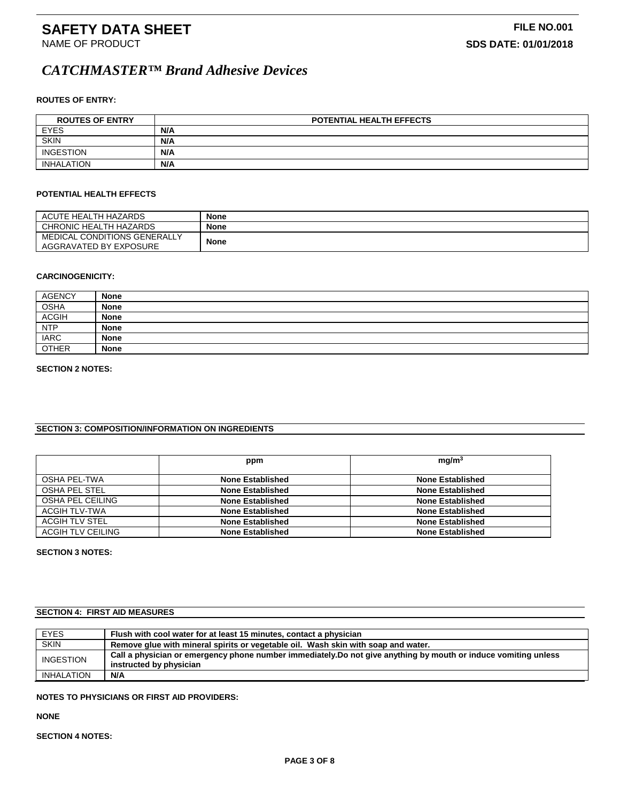#### **ROUTES OF ENTRY:**

| <b>ROUTES OF ENTRY</b> | <b>POTENTIAL HEALTH EFFECTS</b> |
|------------------------|---------------------------------|
| <b>EYES</b>            | N/A                             |
| <b>SKIN</b>            | N/A                             |
| <b>INGESTION</b>       | N/A                             |
| <b>INHALATION</b>      | N/A                             |

#### **POTENTIAL HEALTH EFFECTS**

| ACUTE HEALTH HAZARDS                                   | <b>None</b> |
|--------------------------------------------------------|-------------|
| CHRONIC HEALTH HAZARDS                                 | <b>None</b> |
| MEDICAL CONDITIONS GENERALLY<br>AGGRAVATED BY EXPOSURE | <b>None</b> |

#### **CARCINOGENICITY:**

| <b>AGENCY</b> | <b>None</b> |
|---------------|-------------|
| <b>OSHA</b>   | <b>None</b> |
| <b>ACGIH</b>  | <b>None</b> |
| <b>NTP</b>    | <b>None</b> |
| <b>IARC</b>   | <b>None</b> |
| <b>OTHER</b>  | <b>None</b> |

#### **SECTION 2 NOTES:**

### **SECTION 3: COMPOSITION/INFORMATION ON INGREDIENTS**

|                   | ppm                     | mq/m <sup>3</sup>       |
|-------------------|-------------------------|-------------------------|
| OSHA PEL-TWA      | None Established        | <b>None Established</b> |
| OSHA PEL STEL     | <b>None Established</b> | <b>None Established</b> |
| OSHA PEL CEILING  | <b>None Established</b> | <b>None Established</b> |
| ACGIH TLV-TWA     | <b>None Established</b> | <b>None Established</b> |
| ACGIH TLV STEL    | <b>None Established</b> | <b>None Established</b> |
| ACGIH TLV CEILING | <b>None Established</b> | <b>None Established</b> |

#### **SECTION 3 NOTES:**

### **SECTION 4: FIRST AID MEASURES**

| <b>EYES</b>       | Flush with cool water for at least 15 minutes, contact a physician                                                                         |
|-------------------|--------------------------------------------------------------------------------------------------------------------------------------------|
| <b>SKIN</b>       | Remove glue with mineral spirits or vegetable oil. Wash skin with soap and water.                                                          |
| <b>INGESTION</b>  | Call a physician or emergency phone number immediately. Do not give anything by mouth or induce vomiting unless<br>instructed by physician |
| <b>INHALATION</b> | N/A                                                                                                                                        |

### **NOTES TO PHYSICIANS OR FIRST AID PROVIDERS:**

**NONE**

**SECTION 4 NOTES:**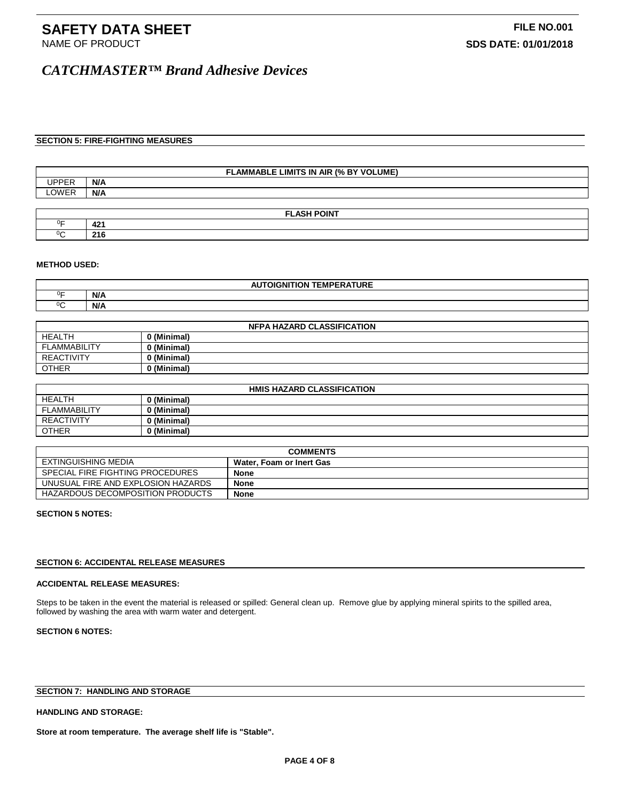#### **SECTION 5: FIRE-FIGHTING MEASURES**

| : LIMITS IN .<br>BY VOLUME)<br><b>FLAMMABLE</b><br>10/2<br><b>AIR</b> |     |
|-----------------------------------------------------------------------|-----|
| $\overline{\phantom{a}}$<br>.                                         | N/A |
| $\bigcap M/\square$                                                   | N/A |
|                                                                       |     |

|            | <b>FLASH POINT</b>           |
|------------|------------------------------|
| $0\square$ | $\overline{a}$<br><u>тд.</u> |
| $\sim$     | $\sim$<br>- 19               |

#### **METHOD USED:**

| $0\square$<br>N/A<br>$\sim$ | . <b>.</b> .<br><b>TEMPERA</b><br><b>OIGNITION</b><br>IURE |     |
|-----------------------------|------------------------------------------------------------|-----|
|                             |                                                            |     |
|                             |                                                            | N/A |

| <b>NFPA HAZARD CLASSIFICATION</b> |             |
|-----------------------------------|-------------|
| HEALTH                            | 0 (Minimal) |
| FLAMMABILITY                      | 0 (Minimal) |
| <b>REACTIVITY</b>                 | 0 (Minimal) |
| <b>OTHER</b>                      | 0 (Minimal) |

| <b>HMIS HAZARD CLASSIFICATION</b> |             |  |
|-----------------------------------|-------------|--|
| <b>HEALTH</b>                     | 0 (Minimal) |  |
| <b>FLAMMABILITY</b>               | 0 (Minimal) |  |
| <b>REACTIVITY</b>                 | 0 (Minimal) |  |
| <b>OTHER</b>                      | 0 (Minimal) |  |

| <b>COMMENTS</b>                    |                          |
|------------------------------------|--------------------------|
| EXTINGUISHING MEDIA                | Water. Foam or Inert Gas |
| SPECIAL FIRE FIGHTING PROCEDURES   | None                     |
| UNUSUAL FIRE AND EXPLOSION HAZARDS | <b>None</b>              |
| HAZARDOUS DECOMPOSITION PRODUCTS   | <b>None</b>              |

#### **SECTION 5 NOTES:**

#### **SECTION 6: ACCIDENTAL RELEASE MEASURES**

#### **ACCIDENTAL RELEASE MEASURES:**

Steps to be taken in the event the material is released or spilled: General clean up. Remove glue by applying mineral spirits to the spilled area, followed by washing the area with warm water and detergent.

#### **SECTION 6 NOTES:**

### **SECTION 7: HANDLING AND STORAGE**

#### **HANDLING AND STORAGE:**

**Store at room temperature. The average shelf life is "Stable".**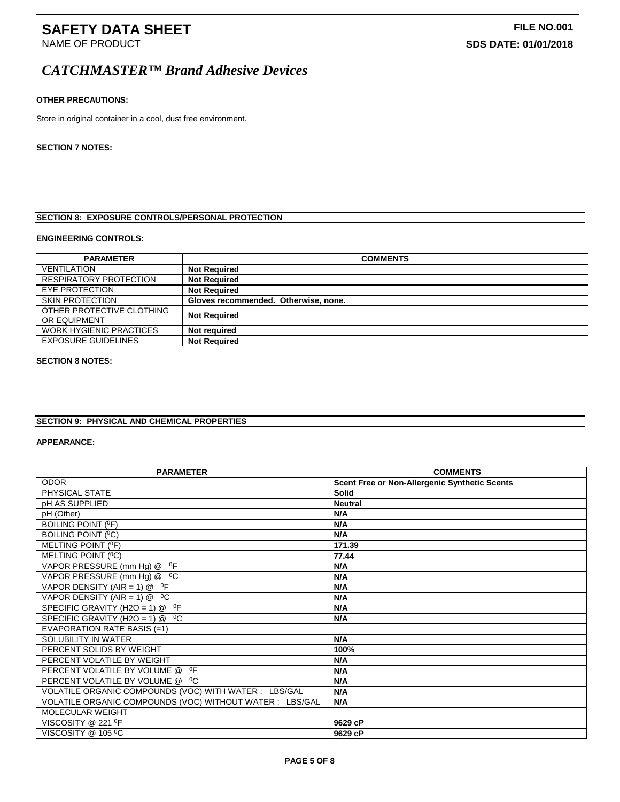#### **OTHER PRECAUTIONS:**

Store in original container in a cool, dust free environment.

#### **SECTION 7 NOTES:**

### **SECTION 8: EXPOSURE CONTROLS/PERSONAL PROTECTION**

#### **ENGINEERING CONTROLS:**

| <b>PARAMETER</b>                          | <b>COMMENTS</b>                      |
|-------------------------------------------|--------------------------------------|
| <b>VENTILATION</b>                        | <b>Not Required</b>                  |
| <b>RESPIRATORY PROTECTION</b>             | <b>Not Required</b>                  |
| EYE PROTECTION                            | <b>Not Required</b>                  |
| <b>SKIN PROTECTION</b>                    | Gloves recommended. Otherwise, none. |
| OTHER PROTECTIVE CLOTHING<br>OR EQUIPMENT | <b>Not Required</b>                  |
| <b>WORK HYGIENIC PRACTICES</b>            | Not required                         |
| <b>EXPOSURE GUIDELINES</b>                | <b>Not Required</b>                  |

#### **SECTION 8 NOTES:**

### **SECTION 9: PHYSICAL AND CHEMICAL PROPERTIES**

#### **APPEARANCE:**

| <b>PARAMETER</b>                                          | <b>COMMENTS</b>                                      |
|-----------------------------------------------------------|------------------------------------------------------|
| <b>ODOR</b>                                               | <b>Scent Free or Non-Allergenic Synthetic Scents</b> |
| PHYSICAL STATE                                            | <b>Solid</b>                                         |
| pH AS SUPPLIED                                            | <b>Neutral</b>                                       |
| pH (Other)                                                | N/A                                                  |
| <b>BOILING POINT (OF)</b>                                 | N/A                                                  |
| BOILING POINT ( <sup>0</sup> C)                           | N/A                                                  |
| MELTING POINT (OF)                                        | 171.39                                               |
| MELTING POINT ( <sup>0</sup> C)                           | 77.44                                                |
| VAPOR PRESSURE (mm Hg) @ <sup>0</sup> F                   | N/A                                                  |
| VAPOR PRESSURE (mm Hg) @ <sup>0</sup> C                   | N/A                                                  |
| VAPOR DENSITY (AIR = 1) $@$ <sup>o</sup> F                | N/A                                                  |
| VAPOR DENSITY (AIR = 1) @ $^0C$                           | N/A                                                  |
| SPECIFIC GRAVITY (H2O = $\overline{1}$ ) @ <sup>0</sup> F | N/A                                                  |
| SPECIFIC GRAVITY (H2O = 1) $@$ <sup>0</sup> C             | N/A                                                  |
| EVAPORATION RATE BASIS (=1)                               |                                                      |
| SOLUBILITY IN WATER                                       | N/A                                                  |
| PERCENT SOLIDS BY WEIGHT                                  | 100%                                                 |
| PERCENT VOLATILE BY WEIGHT                                | N/A                                                  |
| $^0$ F<br>PERCENT VOLATILE BY VOLUME @                    | N/A                                                  |
| PERCENT VOLATILE BY VOLUME @ <sup>0</sup> C               | N/A                                                  |
| VOLATILE ORGANIC COMPOUNDS (VOC) WITH WATER : LBS/GAL     | N/A                                                  |
| VOLATILE ORGANIC COMPOUNDS (VOC) WITHOUT WATER : LBS/GAL  | N/A                                                  |
| <b>MOLECULAR WEIGHT</b>                                   |                                                      |
| VISCOSITY @ 221 <sup>O</sup> F                            | 9629 cP                                              |
| VISCOSITY @ 105 °C                                        | 9629 cP                                              |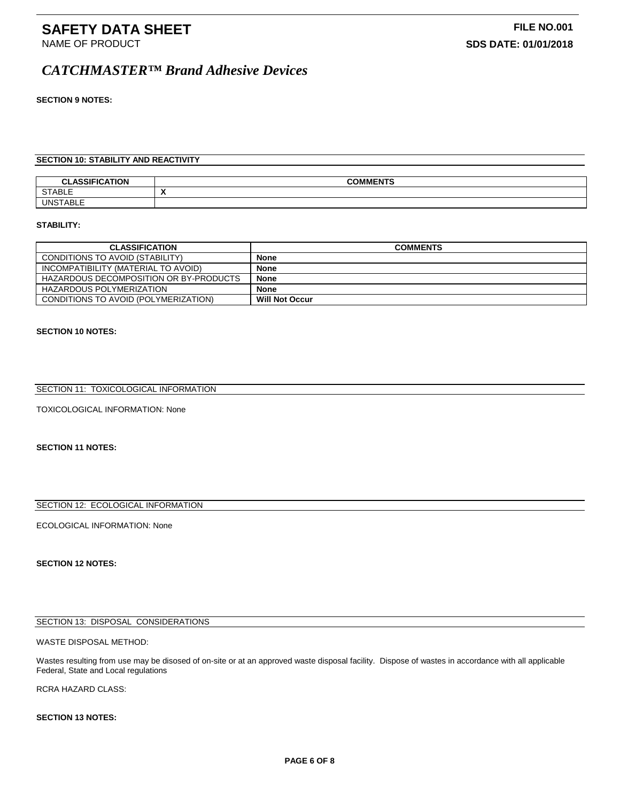#### **SECTION 9 NOTES:**

#### **SECTION 10: STABILITY AND REACTIVITY**

|                          | COMMENTC     |
|--------------------------|--------------|
| <b>STABLE</b>            | $\mathbf{v}$ |
| $. 0.01 -$<br>́∧ ו⊃<br>- |              |

#### **STABILITY:**

| <b>CLASSIFICATION</b>                  | <b>COMMENTS</b>       |
|----------------------------------------|-----------------------|
| CONDITIONS TO AVOID (STABILITY)        | <b>None</b>           |
| INCOMPATIBILITY (MATERIAL TO AVOID)    | <b>None</b>           |
| HAZARDOUS DECOMPOSITION OR BY-PRODUCTS | <b>None</b>           |
| HAZARDOUS POLYMERIZATION               | <b>None</b>           |
| CONDITIONS TO AVOID (POLYMERIZATION)   | <b>Will Not Occur</b> |

#### **SECTION 10 NOTES:**

#### SECTION 11: TOXICOLOGICAL INFORMATION

TOXICOLOGICAL INFORMATION: None

#### **SECTION 11 NOTES:**

#### SECTION 12: ECOLOGICAL INFORMATION

#### ECOLOGICAL INFORMATION: None

#### **SECTION 12 NOTES:**

#### SECTION 13: DISPOSAL CONSIDERATIONS

WASTE DISPOSAL METHOD:

Wastes resulting from use may be disosed of on-site or at an approved waste disposal facility. Dispose of wastes in accordance with all applicable Federal, State and Local regulations

RCRA HAZARD CLASS:

#### **SECTION 13 NOTES:**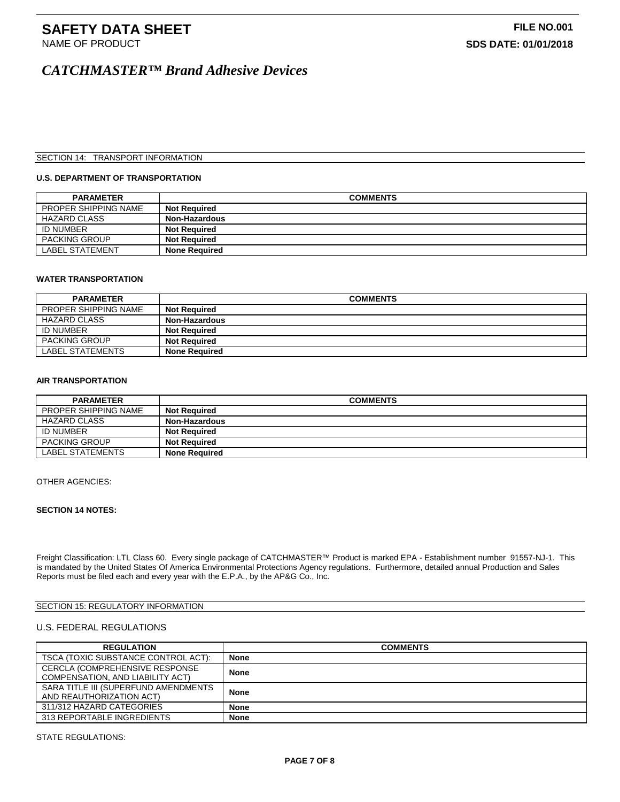# **SAFETY DATA SHEET**<br>
NAME OF PRODUCT **FILE NO.001**<br>
SDS DATE: 01/01/2018

# *CATCHMASTER™ Brand Adhesive Devices*

#### SECTION 14: TRANSPORT INFORMATION

#### **U.S. DEPARTMENT OF TRANSPORTATION**

| <b>PARAMETER</b>       | <b>COMMENTS</b>      |
|------------------------|----------------------|
| PROPER SHIPPING NAME   | <b>Not Required</b>  |
| <b>HAZARD CLASS</b>    | Non-Hazardous        |
| <b>ID NUMBER</b>       | <b>Not Required</b>  |
| <b>PACKING GROUP</b>   | <b>Not Required</b>  |
| <b>LABEL STATEMENT</b> | <b>None Required</b> |

#### **WATER TRANSPORTATION**

| <b>PARAMETER</b>            | <b>COMMENTS</b>      |
|-----------------------------|----------------------|
| <b>PROPER SHIPPING NAME</b> | <b>Not Required</b>  |
| <b>HAZARD CLASS</b>         | <b>Non-Hazardous</b> |
| <b>ID NUMBER</b>            | <b>Not Required</b>  |
| <b>PACKING GROUP</b>        | <b>Not Required</b>  |
| LABEL STATEMENTS            | <b>None Required</b> |

#### **AIR TRANSPORTATION**

| <b>PARAMETER</b>     | <b>COMMENTS</b>      |
|----------------------|----------------------|
| PROPER SHIPPING NAME | <b>Not Reauired</b>  |
| <b>HAZARD CLASS</b>  | Non-Hazardous        |
| <b>ID NUMBER</b>     | <b>Not Reauired</b>  |
| <b>PACKING GROUP</b> | <b>Not Required</b>  |
| LABEL STATEMENTS     | <b>None Required</b> |

#### OTHER AGENCIES:

#### **SECTION 14 NOTES:**

Freight Classification: LTL Class 60. Every single package of CATCHMASTER™ Product is marked EPA - Establishment number 91557-NJ-1. This is mandated by the United States Of America Environmental Protections Agency regulations. Furthermore, detailed annual Production and Sales Reports must be filed each and every year with the E.P.A., by the AP&G Co., Inc.

#### SECTION 15: REGULATORY INFORMATION

#### U.S. FEDERAL REGULATIONS

| <b>REGULATION</b>                    | <b>COMMENTS</b> |
|--------------------------------------|-----------------|
| TSCA (TOXIC SUBSTANCE CONTROL ACT):  | None            |
| CERCLA (COMPREHENSIVE RESPONSE       | <b>None</b>     |
| COMPENSATION, AND LIABILITY ACT)     |                 |
| SARA TITLE III (SUPERFUND AMENDMENTS | <b>None</b>     |
| AND REAUTHORIZATION ACT)             |                 |
| 311/312 HAZARD CATEGORIES            | <b>None</b>     |
| 313 REPORTABLE INGREDIENTS           | <b>None</b>     |